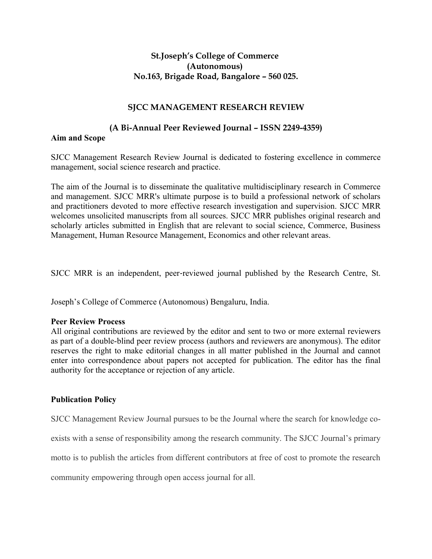## **St.Joseph's College of Commerce (Autonomous) No.163, Brigade Road, Bangalore – 560 025.**

# **SJCC MANAGEMENT RESEARCH REVIEW**

## **(A Bi-Annual Peer Reviewed Journal – ISSN 2249-4359)**

## **Aim and Scope**

SJCC Management Research Review Journal is dedicated to fostering excellence in commerce management, social science research and practice.

The aim of the Journal is to disseminate the qualitative multidisciplinary research in Commerce and management. SJCC MRR's ultimate purpose is to build a professional network of scholars and practitioners devoted to more effective research investigation and supervision. SJCC MRR welcomes unsolicited manuscripts from all sources. SJCC MRR publishes original research and scholarly articles submitted in English that are relevant to social science, Commerce, Business Management, Human Resource Management, Economics and other relevant areas.

SJCC MRR is an independent, peer‐reviewed journal published by the Research Centre, St.

Joseph's College of Commerce (Autonomous) Bengaluru, India.

## **Peer Review Process**

All original contributions are reviewed by the editor and sent to two or more external reviewers as part of a double-blind peer review process (authors and reviewers are anonymous). The editor reserves the right to make editorial changes in all matter published in the Journal and cannot enter into correspondence about papers not accepted for publication. The editor has the final authority for the acceptance or rejection of any article.

## **Publication Policy**

SJCC Management Review Journal pursues to be the Journal where the search for knowledge co-

exists with a sense of responsibility among the research community. The SJCC Journal's primary

motto is to publish the articles from different contributors at free of cost to promote the research

community empowering through open access journal for all.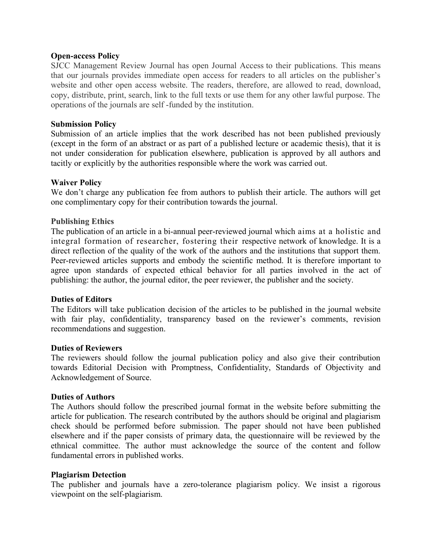#### **Open-access Policy**

SJCC Management Review Journal has open Journal Access to their publications. This means that our journals provides immediate open access for readers to all articles on the publisher's website and other open access website. The readers, therefore, are allowed to read, download, copy, distribute, print, search, link to the full texts or use them for any other lawful purpose. The operations of the journals are self -funded by the institution.

## **Submission Policy**

Submission of an article implies that the work described has not been published previously (except in the form of an abstract or as part of a published lecture or academic thesis), that it is not under consideration for publication elsewhere, publication is approved by all authors and tacitly or explicitly by the authorities responsible where the work was carried out.

## **Waiver Policy**

We don't charge any publication fee from authors to publish their article. The authors will get one complimentary copy for their contribution towards the journal.

## **Publishing Ethics**

The publication of an article in a bi-annual peer-reviewed journal which aims at a holistic and integral formation of researcher, fostering their respective network of knowledge. It is a direct reflection of the quality of the work of the authors and the institutions that support them. Peer-reviewed articles supports and embody the scientific method. It is therefore important to agree upon standards of expected ethical behavior for all parties involved in the act of publishing: the author, the journal editor, the peer reviewer, the publisher and the society.

#### **Duties of Editors**

The Editors will take publication decision of the articles to be published in the journal website with fair play, confidentiality, transparency based on the reviewer's comments, revision recommendations and suggestion.

#### **Duties of Reviewers**

The reviewers should follow the journal publication policy and also give their contribution towards Editorial Decision with Promptness, Confidentiality, Standards of Objectivity and Acknowledgement of Source.

#### **Duties of Authors**

The Authors should follow the prescribed journal format in the website before submitting the article for publication. The research contributed by the authors should be original and plagiarism check should be performed before submission. The paper should not have been published elsewhere and if the paper consists of primary data, the questionnaire will be reviewed by the ethnical committee. The author must acknowledge the source of the content and follow fundamental errors in published works.

#### **Plagiarism Detection**

The publisher and journals have a zero-tolerance plagiarism policy. We insist a rigorous viewpoint on the self-plagiarism.